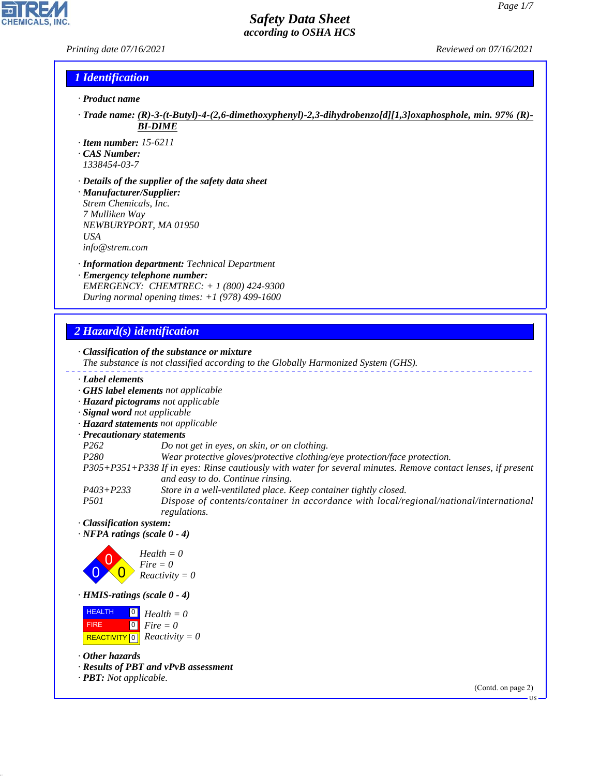#### *Printing date 07/16/2021 Reviewed on 07/16/2021*

P

**CHEMICALS, INC.** 

#### *1 Identification*

- *· Product name*
- *· Trade name: (R)-3-(t-Butyl)-4-(2,6-dimethoxyphenyl)-2,3-dihydrobenzo[d][1,3]oxaphosphole, min. 97% (R)- BI-DIME*
- *· Item number: 15-6211*
- *· CAS Number:*
- *1338454-03-7 · Details of the supplier of the safety data sheet*
- *· Manufacturer/Supplier: Strem Chemicals, Inc. 7 Mulliken Way NEWBURYPORT, MA 01950 USA info@strem.com*
- *· Information department: Technical Department · Emergency telephone number: EMERGENCY: CHEMTREC: + 1 (800) 424-9300 During normal opening times: +1 (978) 499-1600*

## *2 Hazard(s) identification*

44.1.1

|                                                                                                           | · Classification of the substance or mixture<br>The substance is not classified according to the Globally Harmonized System (GHS). |
|-----------------------------------------------------------------------------------------------------------|------------------------------------------------------------------------------------------------------------------------------------|
| Label elements                                                                                            |                                                                                                                                    |
|                                                                                                           | GHS label elements not applicable                                                                                                  |
|                                                                                                           | · Hazard pictograms not applicable                                                                                                 |
| · Signal word not applicable                                                                              |                                                                                                                                    |
| · Hazard statements not applicable                                                                        |                                                                                                                                    |
| · Precautionary statements                                                                                |                                                                                                                                    |
| P <sub>262</sub>                                                                                          | Do not get in eyes, on skin, or on clothing.                                                                                       |
| P <sub>280</sub>                                                                                          | Wear protective gloves/protective clothing/eye protection/face protection.                                                         |
|                                                                                                           | P305+P351+P338 If in eyes: Rinse cautiously with water for several minutes. Remove contact lenses, if present                      |
|                                                                                                           | and easy to do. Continue rinsing.                                                                                                  |
| $P403 + P233$                                                                                             | Store in a well-ventilated place. Keep container tightly closed.                                                                   |
| <i>P501</i>                                                                                               | Dispose of contents/container in accordance with local/regional/national/international<br>regulations.                             |
| · Classification system:                                                                                  |                                                                                                                                    |
| $\cdot$ NFPA ratings (scale 0 - 4)                                                                        |                                                                                                                                    |
|                                                                                                           | $Health = 0$<br>$Fire = 0$<br>$Reactivity = 0$                                                                                     |
| $\cdot$ HMIS-ratings (scale 0 - 4)                                                                        |                                                                                                                                    |
| <b>HEALTH</b><br>$\begin{array}{c} 0 \end{array}$<br>$\overline{0}$<br><b>FIRE</b><br><b>REACTIVITY</b> 0 | $Health = 0$<br>$Fire = 0$<br>$Reactivity = 0$                                                                                     |
| $\cdot$ Other hazards                                                                                     |                                                                                                                                    |
|                                                                                                           | · Results of PBT and vPvB assessment                                                                                               |
| · <b>PBT</b> : Not applicable.                                                                            |                                                                                                                                    |
|                                                                                                           | (Contd. on page 2)                                                                                                                 |
|                                                                                                           | $\cdot$ US $-$                                                                                                                     |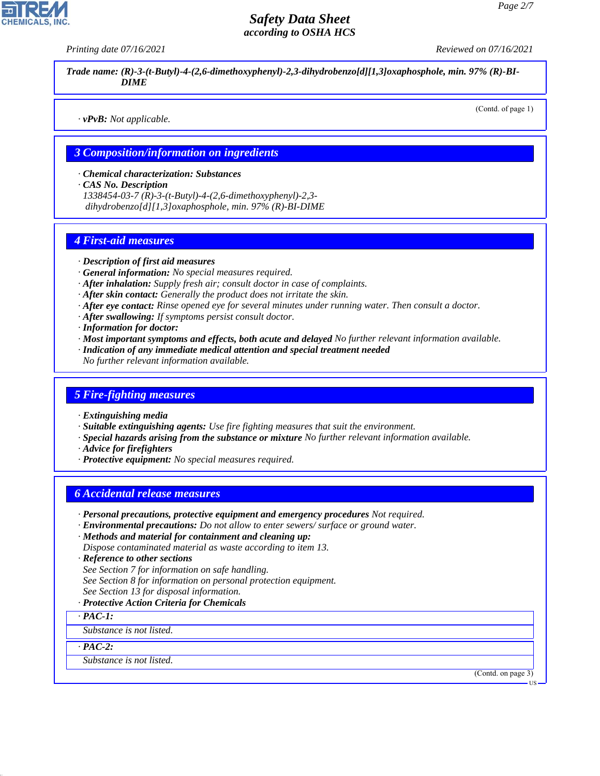*Printing date 07/16/2021 Reviewed on 07/16/2021*

*Trade name: (R)-3-(t-Butyl)-4-(2,6-dimethoxyphenyl)-2,3-dihydrobenzo[d][1,3]oxaphosphole, min. 97% (R)-BI-DIME*

*· vPvB: Not applicable.*

(Contd. of page 1)

#### *3 Composition/information on ingredients*

*· Chemical characterization: Substances*

*· CAS No. Description*

*1338454-03-7 (R)-3-(t-Butyl)-4-(2,6-dimethoxyphenyl)-2,3 dihydrobenzo[d][1,3]oxaphosphole, min. 97% (R)-BI-DIME*

#### *4 First-aid measures*

- *· Description of first aid measures*
- *· General information: No special measures required.*
- *· After inhalation: Supply fresh air; consult doctor in case of complaints.*
- *· After skin contact: Generally the product does not irritate the skin.*
- *· After eye contact: Rinse opened eye for several minutes under running water. Then consult a doctor.*
- *· After swallowing: If symptoms persist consult doctor.*
- *· Information for doctor:*
- *· Most important symptoms and effects, both acute and delayed No further relevant information available.*
- *· Indication of any immediate medical attention and special treatment needed*
- *No further relevant information available.*

#### *5 Fire-fighting measures*

- *· Extinguishing media*
- *· Suitable extinguishing agents: Use fire fighting measures that suit the environment.*
- *· Special hazards arising from the substance or mixture No further relevant information available.*
- *· Advice for firefighters*
- *· Protective equipment: No special measures required.*

#### *6 Accidental release measures*

- *· Personal precautions, protective equipment and emergency procedures Not required.*
- *· Environmental precautions: Do not allow to enter sewers/ surface or ground water.*
- *· Methods and material for containment and cleaning up: Dispose contaminated material as waste according to item 13.*
- *· Reference to other sections*
- *See Section 7 for information on safe handling.*
- *See Section 8 for information on personal protection equipment.*
- *See Section 13 for disposal information.*
- *· Protective Action Criteria for Chemicals*
- *· PAC-1:*

*Substance is not listed.*

*· PAC-2:*

44.1.1

*Substance is not listed.*

(Contd. on page 3)

US

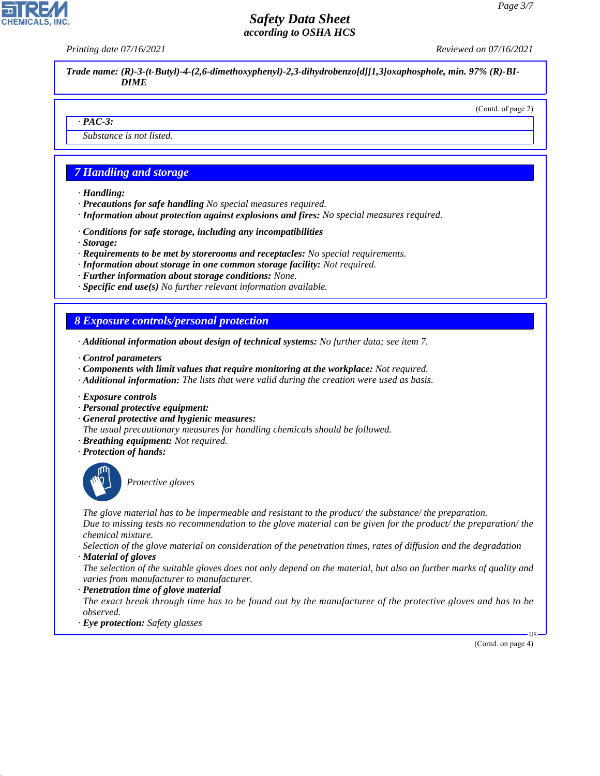*Printing date 07/16/2021 Reviewed on 07/16/2021*

*Trade name: (R)-3-(t-Butyl)-4-(2,6-dimethoxyphenyl)-2,3-dihydrobenzo[d][1,3]oxaphosphole, min. 97% (R)-BI-DIME*

#### (Contd. of page 2)

#### *· PAC-3:*

*Substance is not listed.*

## *7 Handling and storage*

- *· Handling:*
- *· Precautions for safe handling No special measures required.*
- *· Information about protection against explosions and fires: No special measures required.*
- *· Conditions for safe storage, including any incompatibilities*
- *· Storage:*
- *· Requirements to be met by storerooms and receptacles: No special requirements.*
- *· Information about storage in one common storage facility: Not required.*
- *· Further information about storage conditions: None.*
- *· Specific end use(s) No further relevant information available.*

#### *8 Exposure controls/personal protection*

- *· Additional information about design of technical systems: No further data; see item 7.*
- *· Control parameters*
- *· Components with limit values that require monitoring at the workplace: Not required.*
- *· Additional information: The lists that were valid during the creation were used as basis.*
- *· Exposure controls*
- *· Personal protective equipment:*
- *· General protective and hygienic measures:*
- *The usual precautionary measures for handling chemicals should be followed.*
- *· Breathing equipment: Not required.*
- *· Protection of hands:*



44.1.1

\_S*Protective gloves*

*The glove material has to be impermeable and resistant to the product/ the substance/ the preparation.*

*Due to missing tests no recommendation to the glove material can be given for the product/ the preparation/ the chemical mixture.*

*Selection of the glove material on consideration of the penetration times, rates of diffusion and the degradation · Material of gloves*

*The selection of the suitable gloves does not only depend on the material, but also on further marks of quality and varies from manufacturer to manufacturer.*

*· Penetration time of glove material*

*The exact break through time has to be found out by the manufacturer of the protective gloves and has to be observed.*

*· Eye protection: Safety glasses*

(Contd. on page 4)

US

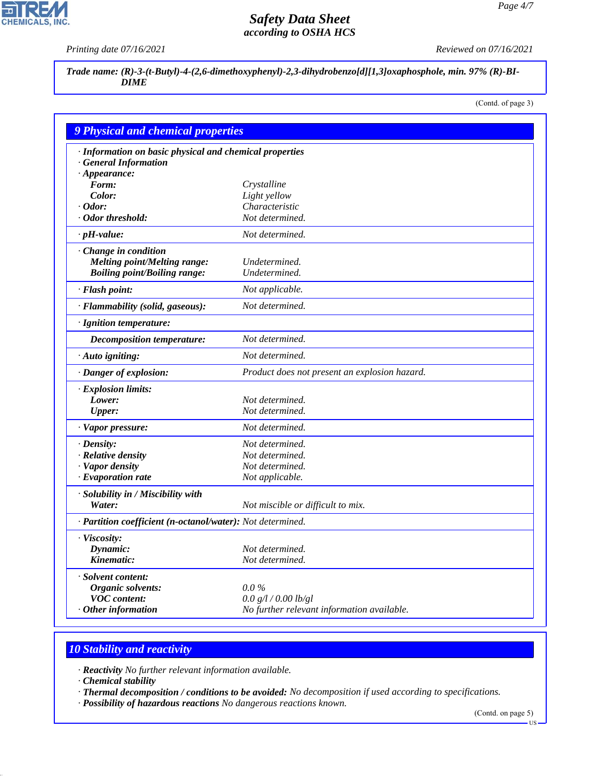P

**CHEMICALS, INC.** 

*Printing date 07/16/2021 Reviewed on 07/16/2021*

*Trade name: (R)-3-(t-Butyl)-4-(2,6-dimethoxyphenyl)-2,3-dihydrobenzo[d][1,3]oxaphosphole, min. 97% (R)-BI-DIME*

(Contd. of page 3)

| <b>9 Physical and chemical properties</b>                  |                                               |
|------------------------------------------------------------|-----------------------------------------------|
| · Information on basic physical and chemical properties    |                                               |
| · General Information                                      |                                               |
| $\cdot$ Appearance:                                        |                                               |
| Form:                                                      | Crystalline                                   |
| Color:                                                     | Light yellow                                  |
| $\cdot$ Odor:                                              | Characteristic                                |
| · Odor threshold:                                          | Not determined.                               |
| $\cdot$ pH-value:                                          | Not determined.                               |
| · Change in condition                                      |                                               |
| <b>Melting point/Melting range:</b>                        | Undetermined.                                 |
| <b>Boiling point/Boiling range:</b>                        | Undetermined.                                 |
| · Flash point:                                             | Not applicable.                               |
| · Flammability (solid, gaseous):                           | Not determined.                               |
| · Ignition temperature:                                    |                                               |
| <b>Decomposition temperature:</b>                          | Not determined.                               |
| · Auto igniting:                                           | Not determined.                               |
| · Danger of explosion:                                     | Product does not present an explosion hazard. |
| · Explosion limits:                                        |                                               |
| Lower:                                                     | Not determined.                               |
| <b>Upper:</b>                                              | Not determined.                               |
| · Vapor pressure:                                          | Not determined.                               |
| $\cdot$ Density:                                           | Not determined.                               |
| · Relative density                                         | Not determined.                               |
| · Vapor density                                            | Not determined.                               |
| · Evaporation rate                                         | Not applicable.                               |
| · Solubility in / Miscibility with                         |                                               |
| Water:                                                     | Not miscible or difficult to mix.             |
| · Partition coefficient (n-octanol/water): Not determined. |                                               |
| · Viscosity:                                               |                                               |
| Dynamic:                                                   | Not determined.                               |
| Kinematic:                                                 | Not determined.                               |
| · Solvent content:                                         |                                               |
| Organic solvents:                                          | $0.0\%$                                       |
| <b>VOC</b> content:                                        | 0.0 g/l / 0.00 lb/gl                          |
| $\cdot$ Other information                                  | No further relevant information available.    |

# *10 Stability and reactivity*

*· Reactivity No further relevant information available.*

*· Chemical stability*

44.1.1

*· Thermal decomposition / conditions to be avoided: No decomposition if used according to specifications.*

*· Possibility of hazardous reactions No dangerous reactions known.*

(Contd. on page 5)

US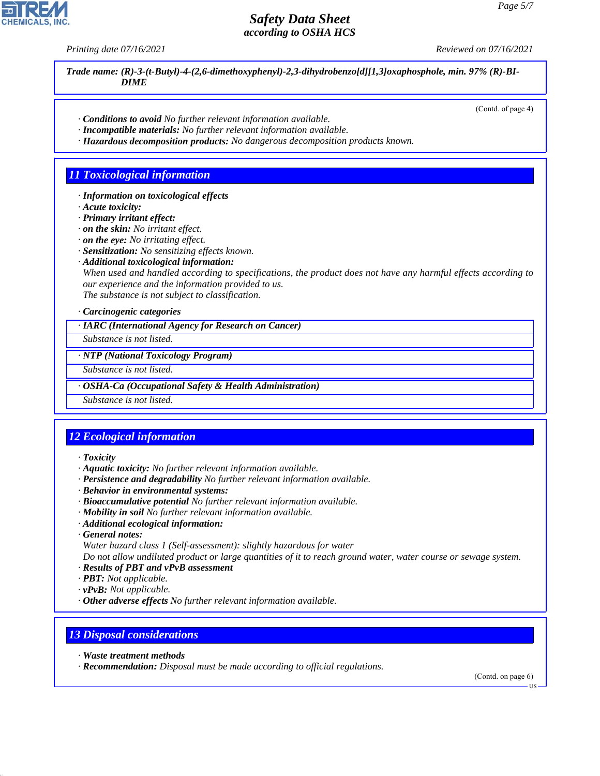*Printing date 07/16/2021 Reviewed on 07/16/2021*

*Trade name: (R)-3-(t-Butyl)-4-(2,6-dimethoxyphenyl)-2,3-dihydrobenzo[d][1,3]oxaphosphole, min. 97% (R)-BI-DIME*

- *· Conditions to avoid No further relevant information available.*
- *· Incompatible materials: No further relevant information available.*
- *· Hazardous decomposition products: No dangerous decomposition products known.*

#### *11 Toxicological information*

- *· Information on toxicological effects*
- *· Acute toxicity:*
- *· Primary irritant effect:*
- *· on the skin: No irritant effect.*
- *· on the eye: No irritating effect.*
- *· Sensitization: No sensitizing effects known.*
- *· Additional toxicological information:*

*When used and handled according to specifications, the product does not have any harmful effects according to our experience and the information provided to us. The substance is not subject to classification.*

*· Carcinogenic categories*

*· IARC (International Agency for Research on Cancer)*

*Substance is not listed.*

*· NTP (National Toxicology Program)*

*Substance is not listed.*

*· OSHA-Ca (Occupational Safety & Health Administration)*

*Substance is not listed.*

## *12 Ecological information*

- *· Toxicity*
- *· Aquatic toxicity: No further relevant information available.*
- *· Persistence and degradability No further relevant information available.*
- *· Behavior in environmental systems:*
- *· Bioaccumulative potential No further relevant information available.*
- *· Mobility in soil No further relevant information available.*
- *· Additional ecological information:*
- *· General notes:*
- *Water hazard class 1 (Self-assessment): slightly hazardous for water*

*Do not allow undiluted product or large quantities of it to reach ground water, water course or sewage system. · Results of PBT and vPvB assessment*

- *· PBT: Not applicable.*
- *· vPvB: Not applicable.*
- *· Other adverse effects No further relevant information available.*

#### *13 Disposal considerations*

*· Waste treatment methods*

44.1.1

*· Recommendation: Disposal must be made according to official regulations.*

(Contd. on page 6)



US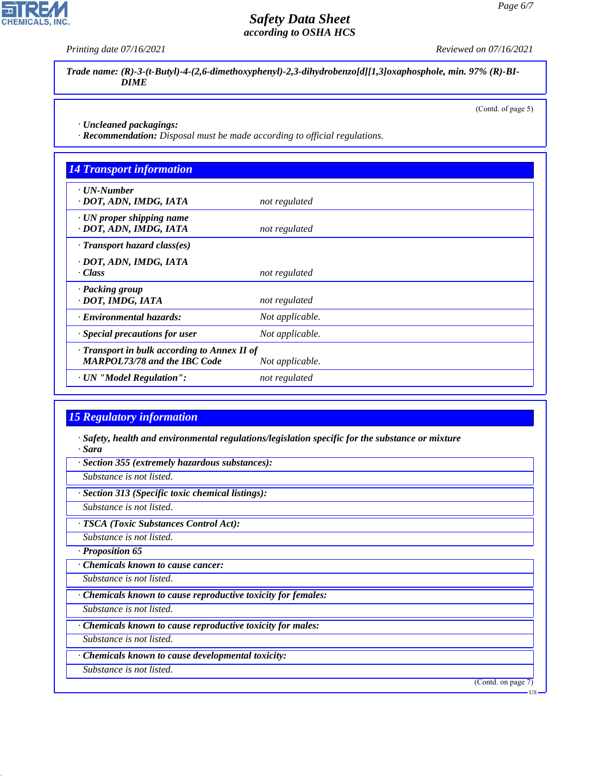*Printing date 07/16/2021 Reviewed on 07/16/2021*

*Trade name: (R)-3-(t-Butyl)-4-(2,6-dimethoxyphenyl)-2,3-dihydrobenzo[d][1,3]oxaphosphole, min. 97% (R)-BI-DIME*

(Contd. of page 5)

*· Uncleaned packagings:*

*· Recommendation: Disposal must be made according to official regulations.*

| <b>14 Transport information</b>                                                     |                 |  |
|-------------------------------------------------------------------------------------|-----------------|--|
| $\cdot$ UN-Number<br>· DOT, ADN, IMDG, IATA                                         | not regulated   |  |
| $\cdot$ UN proper shipping name<br>· DOT, ADN, IMDG, IATA                           | not regulated   |  |
| $\cdot$ Transport hazard class(es)                                                  |                 |  |
| · DOT, ADN, IMDG, IATA<br>· Class                                                   | not regulated   |  |
| · Packing group<br>· DOT, IMDG, IATA                                                | not regulated   |  |
| · Environmental hazards:                                                            | Not applicable. |  |
| · Special precautions for user                                                      | Not applicable. |  |
| · Transport in bulk according to Annex II of<br><b>MARPOL73/78 and the IBC Code</b> | Not applicable. |  |
| · UN "Model Regulation":                                                            | not regulated   |  |

## *15 Regulatory information*

*· Safety, health and environmental regulations/legislation specific for the substance or mixture · Sara*

*· Section 355 (extremely hazardous substances):*

*Substance is not listed.*

*· Section 313 (Specific toxic chemical listings):*

*Substance is not listed.*

*· TSCA (Toxic Substances Control Act):*

*Substance is not listed.*

*· Proposition 65*

*· Chemicals known to cause cancer:*

*Substance is not listed.*

*· Chemicals known to cause reproductive toxicity for females:*

*Substance is not listed.*

*· Chemicals known to cause reproductive toxicity for males:*

*Substance is not listed.*

*· Chemicals known to cause developmental toxicity:*

*Substance is not listed.*

44.1.1

(Contd. on page 7)



US